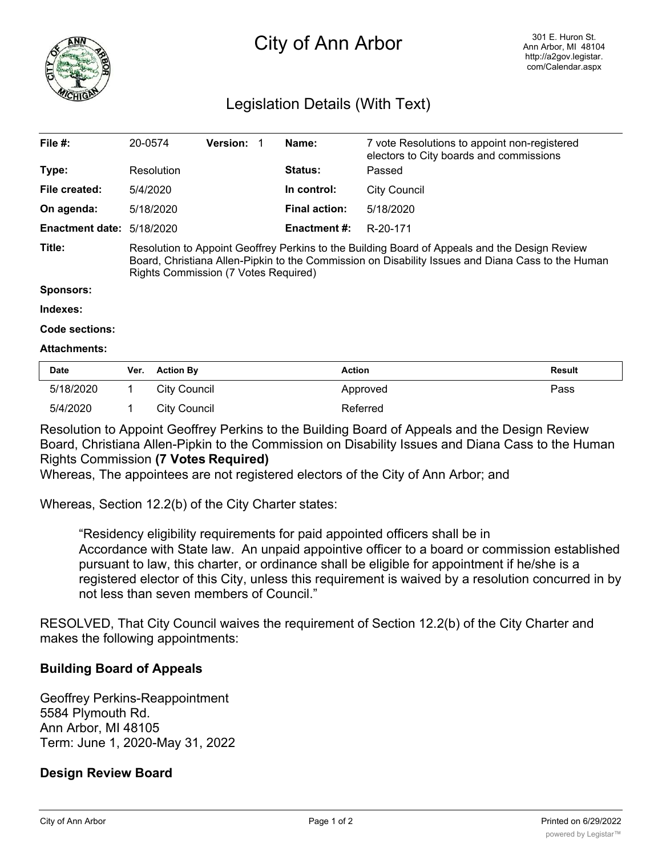

# City of Ann Arbor

# Legislation Details (With Text)

| File $#$ :                | 20-0574                                                                                                                                                                                                                                    | <b>Version:</b> | Name:                | 7 vote Resolutions to appoint non-registered<br>electors to City boards and commissions |  |  |
|---------------------------|--------------------------------------------------------------------------------------------------------------------------------------------------------------------------------------------------------------------------------------------|-----------------|----------------------|-----------------------------------------------------------------------------------------|--|--|
| Type:                     | Resolution                                                                                                                                                                                                                                 |                 | <b>Status:</b>       | Passed                                                                                  |  |  |
| File created:             | 5/4/2020                                                                                                                                                                                                                                   |                 | In control:          | City Council                                                                            |  |  |
| On agenda:                | 5/18/2020                                                                                                                                                                                                                                  |                 | <b>Final action:</b> | 5/18/2020                                                                               |  |  |
| Enactment date: 5/18/2020 |                                                                                                                                                                                                                                            |                 | <b>Enactment #:</b>  | R-20-171                                                                                |  |  |
| Title:                    | Resolution to Appoint Geoffrey Perkins to the Building Board of Appeals and the Design Review<br>Board, Christiana Allen-Pipkin to the Commission on Disability Issues and Diana Cass to the Human<br>Rights Commission (7 Votes Required) |                 |                      |                                                                                         |  |  |

#### **Sponsors:**

**Indexes:**

**Code sections:**

#### **Attachments:**

| <b>Date</b> | Ver. | <b>Action By</b> | <b>Action</b> | Result |
|-------------|------|------------------|---------------|--------|
| 5/18/2020   |      | City Council     | Approved      | Pass   |
| 5/4/2020    |      | City Council     | Referred      |        |

Resolution to Appoint Geoffrey Perkins to the Building Board of Appeals and the Design Review Board, Christiana Allen-Pipkin to the Commission on Disability Issues and Diana Cass to the Human Rights Commission **(7 Votes Required)**

Whereas, The appointees are not registered electors of the City of Ann Arbor; and

Whereas, Section 12.2(b) of the City Charter states:

"Residency eligibility requirements for paid appointed officers shall be in Accordance with State law. An unpaid appointive officer to a board or commission established pursuant to law, this charter, or ordinance shall be eligible for appointment if he/she is a registered elector of this City, unless this requirement is waived by a resolution concurred in by not less than seven members of Council."

RESOLVED, That City Council waives the requirement of Section 12.2(b) of the City Charter and makes the following appointments:

#### **Building Board of Appeals**

Geoffrey Perkins-Reappointment 5584 Plymouth Rd. Ann Arbor, MI 48105 Term: June 1, 2020-May 31, 2022

#### **Design Review Board**